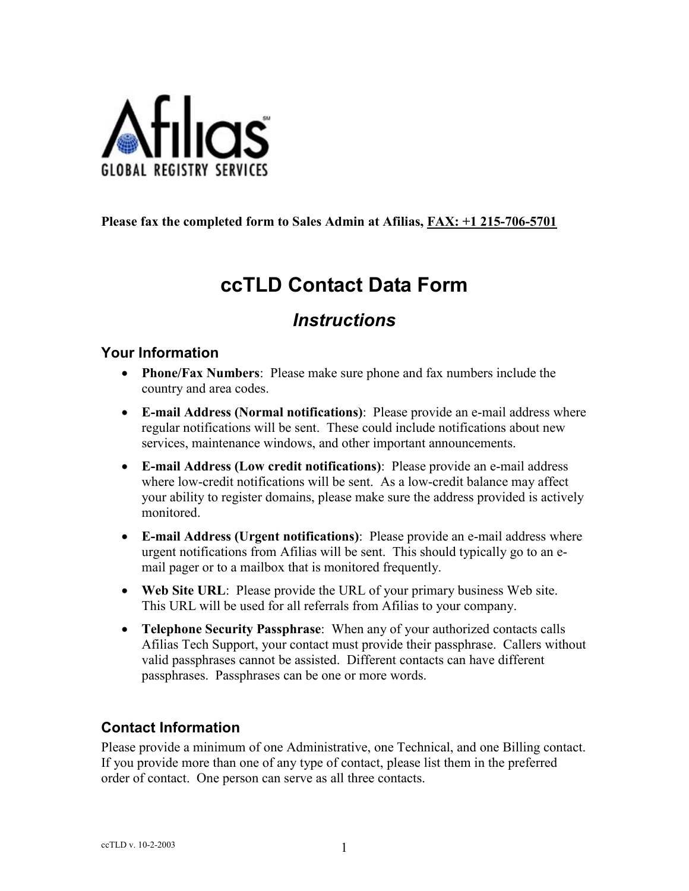

#### **Please fax the completed form to Sales Admin at Afilias, FAX: +1 215-706-5701**

# **ccTLD Contact Data Form**

## *Instructions*

#### **Your Information**

- **Phone/Fax Numbers**: Please make sure phone and fax numbers include the country and area codes.
- **E-mail Address (Normal notifications)**: Please provide an e-mail address where regular notifications will be sent. These could include notifications about new services, maintenance windows, and other important announcements.
- **E-mail Address (Low credit notifications)**: Please provide an e-mail address where low-credit notifications will be sent. As a low-credit balance may affect your ability to register domains, please make sure the address provided is actively monitored.
- **E-mail Address (Urgent notifications)**: Please provide an e-mail address where urgent notifications from Afilias will be sent. This should typically go to an email pager or to a mailbox that is monitored frequently.
- **Web Site URL**: Please provide the URL of your primary business Web site. This URL will be used for all referrals from Afilias to your company.
- **Telephone Security Passphrase**: When any of your authorized contacts calls Afilias Tech Support, your contact must provide their passphrase. Callers without valid passphrases cannot be assisted. Different contacts can have different passphrases. Passphrases can be one or more words.

### **Contact Information**

Please provide a minimum of one Administrative, one Technical, and one Billing contact. If you provide more than one of any type of contact, please list them in the preferred order of contact. One person can serve as all three contacts.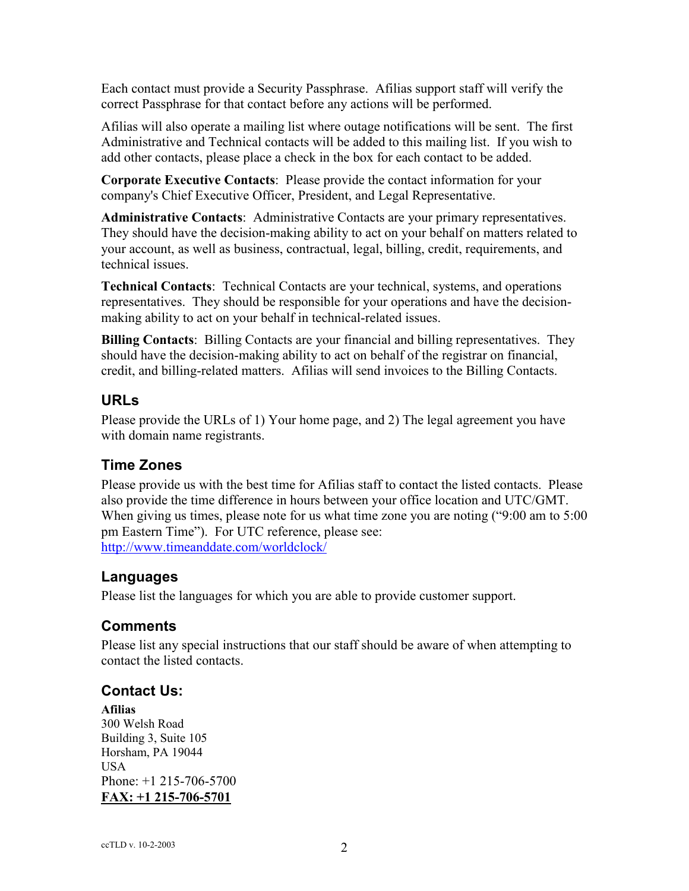Each contact must provide a Security Passphrase. Afilias support staff will verify the correct Passphrase for that contact before any actions will be performed.

Afilias will also operate a mailing list where outage notifications will be sent. The first Administrative and Technical contacts will be added to this mailing list. If you wish to add other contacts, please place a check in the box for each contact to be added.

**Corporate Executive Contacts**: Please provide the contact information for your company's Chief Executive Officer, President, and Legal Representative.

**Administrative Contacts**: Administrative Contacts are your primary representatives. They should have the decision-making ability to act on your behalf on matters related to your account, as well as business, contractual, legal, billing, credit, requirements, and technical issues.

**Technical Contacts**: Technical Contacts are your technical, systems, and operations representatives. They should be responsible for your operations and have the decisionmaking ability to act on your behalf in technical-related issues.

**Billing Contacts**: Billing Contacts are your financial and billing representatives. They should have the decision-making ability to act on behalf of the registrar on financial, credit, and billing-related matters. Afilias will send invoices to the Billing Contacts.

### **URLs**

Please provide the URLs of 1) Your home page, and 2) The legal agreement you have with domain name registrants.

### **Time Zones**

Please provide us with the best time for Afilias staff to contact the listed contacts. Please also provide the time difference in hours between your office location and UTC/GMT. When giving us times, please note for us what time zone you are noting ("9:00 am to 5:00 pm Eastern Time"). For UTC reference, please see: http://www.timeanddate.com/worldclock/

#### **Languages**

Please list the languages for which you are able to provide customer support.

### **Comments**

Please list any special instructions that our staff should be aware of when attempting to contact the listed contacts.

### **Contact Us:**

**Afilias**  300 Welsh Road Building 3, Suite 105 Horsham, PA 19044 USA Phone: +1 215-706-5700 **FAX: +1 215-706-5701**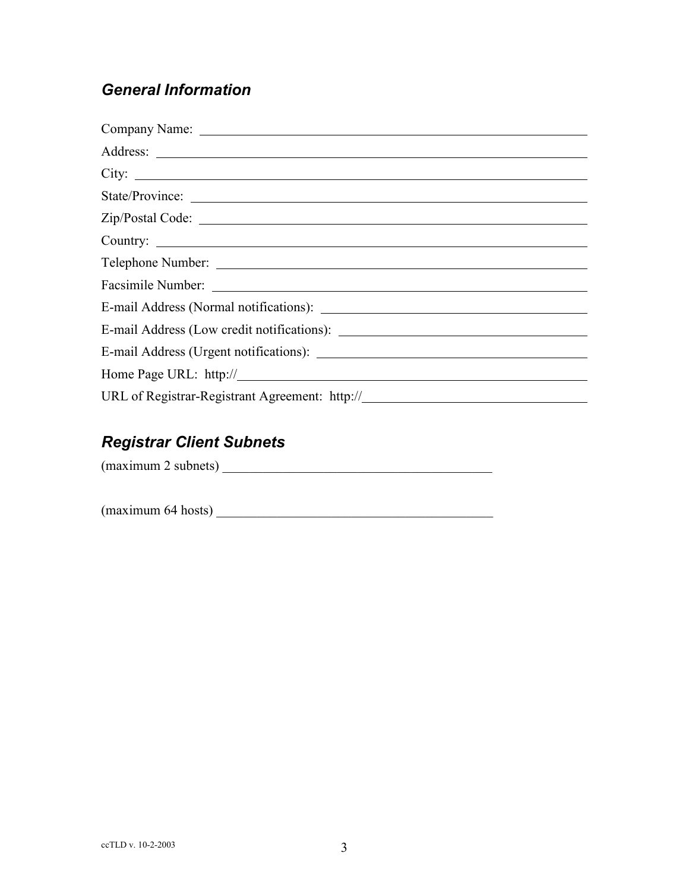## *General Information*

| City:           |
|-----------------|
| State/Province: |
|                 |
| Country:        |
|                 |
|                 |
|                 |
|                 |
|                 |
|                 |
|                 |

## *Registrar Client Subnets*

 $(\text{maximum 2 subnets})$ 

 $(\text{maximum } 64 \text{ hosts})$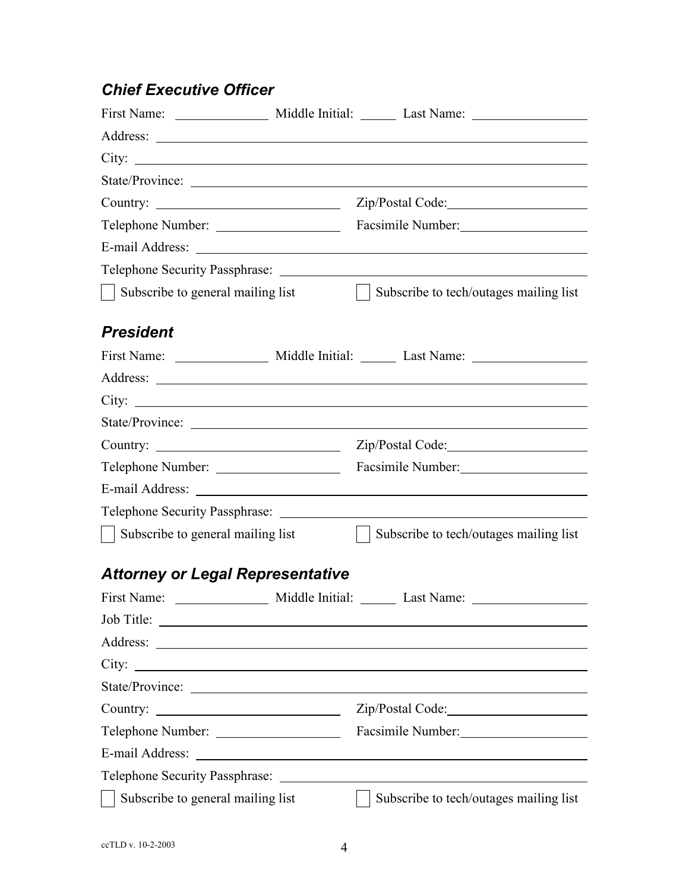## *Chief Executive Officer*

| City:                                                                                                                             |                 |                                                                                                                        |  |  |
|-----------------------------------------------------------------------------------------------------------------------------------|-----------------|------------------------------------------------------------------------------------------------------------------------|--|--|
|                                                                                                                                   |                 |                                                                                                                        |  |  |
|                                                                                                                                   |                 |                                                                                                                        |  |  |
|                                                                                                                                   |                 | Facsimile Number:                                                                                                      |  |  |
|                                                                                                                                   |                 |                                                                                                                        |  |  |
|                                                                                                                                   |                 |                                                                                                                        |  |  |
| Subscribe to general mailing list                                                                                                 |                 | Subscribe to tech/outages mailing list                                                                                 |  |  |
| <b>President</b>                                                                                                                  |                 |                                                                                                                        |  |  |
|                                                                                                                                   |                 |                                                                                                                        |  |  |
|                                                                                                                                   |                 |                                                                                                                        |  |  |
|                                                                                                                                   |                 |                                                                                                                        |  |  |
|                                                                                                                                   |                 |                                                                                                                        |  |  |
|                                                                                                                                   |                 |                                                                                                                        |  |  |
| Telephone Number:                                                                                                                 |                 | Facsimile Number:                                                                                                      |  |  |
|                                                                                                                                   |                 |                                                                                                                        |  |  |
| Telephone Security Passphrase:                                                                                                    |                 |                                                                                                                        |  |  |
| Subscribe to general mailing list                                                                                                 |                 | Subscribe to tech/outages mailing list                                                                                 |  |  |
| <b>Attorney or Legal Representative</b>                                                                                           |                 |                                                                                                                        |  |  |
| First Name:                                                                                                                       | Middle Initial: | Last Name:                                                                                                             |  |  |
|                                                                                                                                   |                 |                                                                                                                        |  |  |
| Address:<br><u> 1989 - Johann Barbara, martin amerikan basal dan berasal dan berasal dalam basal dalam basal dalam basal dala</u> |                 |                                                                                                                        |  |  |
| City:<br><u> 1980 - Jan Samuel Barbara, poeta esperanto-poeta esperanto-poeta esperanto-poeta esperanto-poeta esperanto-po</u>    |                 |                                                                                                                        |  |  |
|                                                                                                                                   |                 |                                                                                                                        |  |  |
| Country:<br><u> 1990 - Johann Barbara, martin a</u>                                                                               |                 |                                                                                                                        |  |  |
| Telephone Number:                                                                                                                 |                 | Facsimile Number:                                                                                                      |  |  |
| E-mail Address:                                                                                                                   |                 | <u> 1980 - Johann Stoff, deutscher Stoffen und der Stoffen und der Stoffen und der Stoffen und der Stoffen und der</u> |  |  |
| Telephone Security Passphrase:                                                                                                    |                 |                                                                                                                        |  |  |
| Subscribe to general mailing list                                                                                                 |                 | Subscribe to tech/outages mailing list                                                                                 |  |  |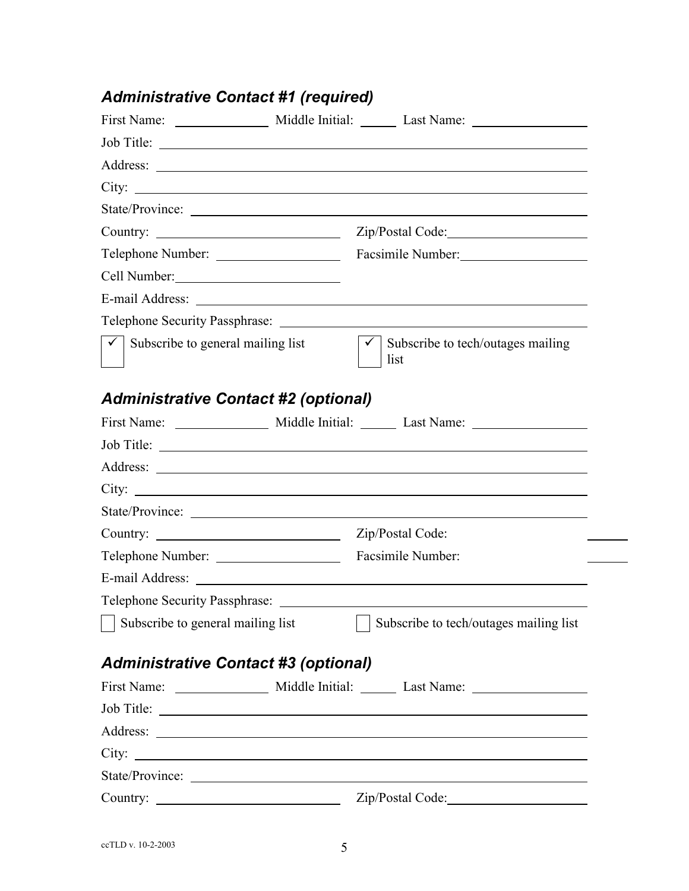# *Administrative Contact #1 (required)*

| Job Title:                                        |  |                                                                                                                      |  |  |  |
|---------------------------------------------------|--|----------------------------------------------------------------------------------------------------------------------|--|--|--|
|                                                   |  |                                                                                                                      |  |  |  |
|                                                   |  |                                                                                                                      |  |  |  |
|                                                   |  | State/Province:                                                                                                      |  |  |  |
|                                                   |  |                                                                                                                      |  |  |  |
| Telephone Number:                                 |  | Facsimile Number:                                                                                                    |  |  |  |
| Cell Number:                                      |  |                                                                                                                      |  |  |  |
|                                                   |  |                                                                                                                      |  |  |  |
|                                                   |  |                                                                                                                      |  |  |  |
| Subscribe to general mailing list<br>$\checkmark$ |  | $\checkmark$<br>Subscribe to tech/outages mailing<br>list                                                            |  |  |  |
| <b>Administrative Contact #2 (optional)</b>       |  |                                                                                                                      |  |  |  |
|                                                   |  |                                                                                                                      |  |  |  |
|                                                   |  | Job Title:                                                                                                           |  |  |  |
|                                                   |  |                                                                                                                      |  |  |  |
|                                                   |  |                                                                                                                      |  |  |  |
|                                                   |  | State/Province:                                                                                                      |  |  |  |
|                                                   |  | Zip/Postal Code:                                                                                                     |  |  |  |
| Telephone Number:                                 |  | Facsimile Number:                                                                                                    |  |  |  |
| E-mail Address:                                   |  | <u> 1989 - Johann Barbara, martin amerikan basal dan berasal dan berasal dalam basal dan berasal dan berasal dan</u> |  |  |  |
|                                                   |  |                                                                                                                      |  |  |  |
| Subscribe to general mailing list                 |  | Subscribe to tech/outages mailing list                                                                               |  |  |  |
| <b>Administrative Contact #3 (optional)</b>       |  |                                                                                                                      |  |  |  |
|                                                   |  |                                                                                                                      |  |  |  |
|                                                   |  |                                                                                                                      |  |  |  |
|                                                   |  |                                                                                                                      |  |  |  |
|                                                   |  |                                                                                                                      |  |  |  |
|                                                   |  | State/Province:                                                                                                      |  |  |  |
| Country: $\qquad \qquad$                          |  |                                                                                                                      |  |  |  |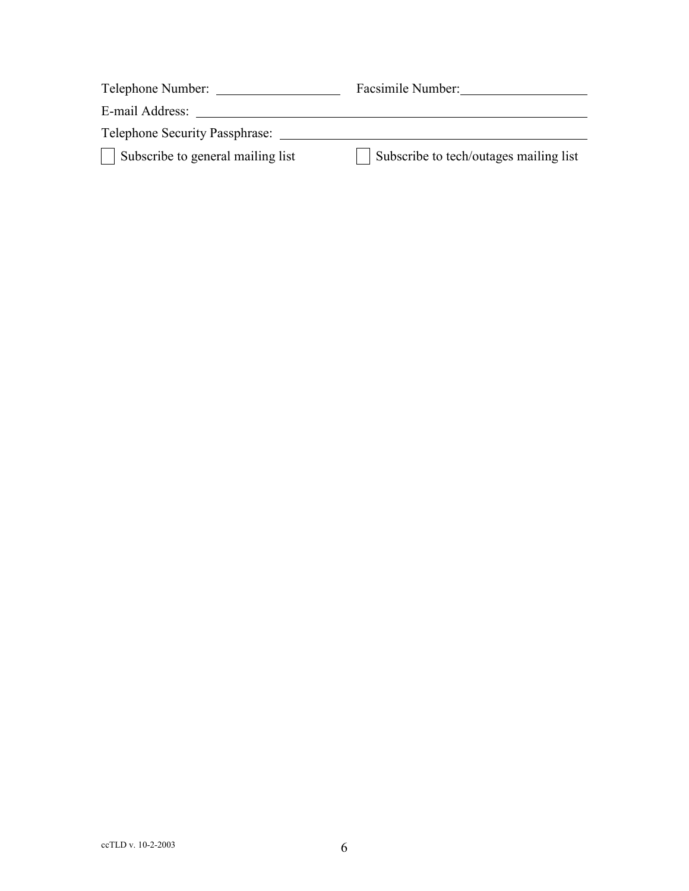| Telephone Number:                     | Facsimile Number:                      |
|---------------------------------------|----------------------------------------|
| E-mail Address:                       |                                        |
| <b>Telephone Security Passphrase:</b> |                                        |
| Subscribe to general mailing list     | Subscribe to tech/outages mailing list |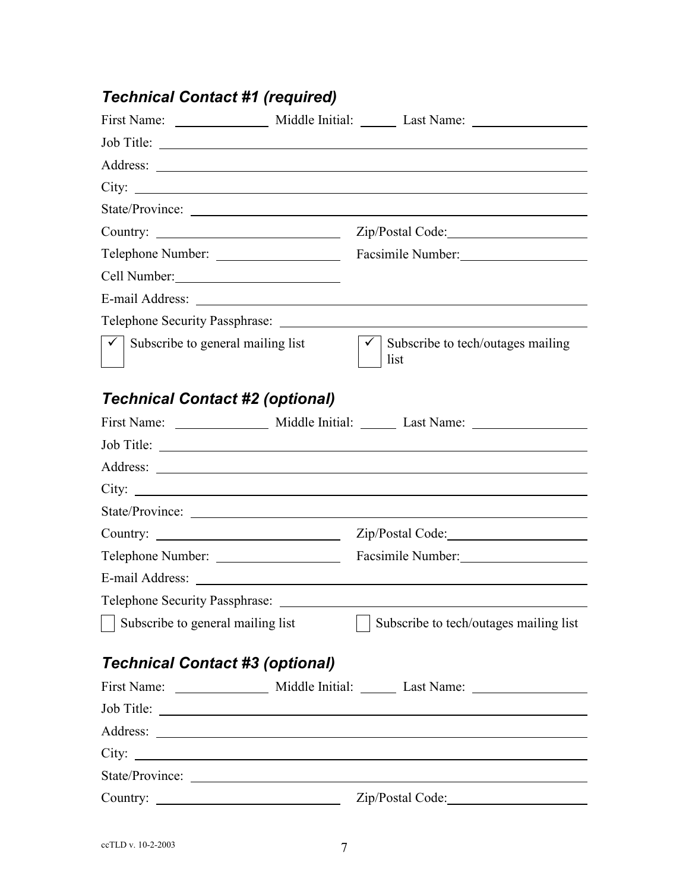# *Technical Contact #1 (required)*

|                                           | Job Title:                                |
|-------------------------------------------|-------------------------------------------|
|                                           |                                           |
| City:                                     |                                           |
| State/Province:                           |                                           |
|                                           |                                           |
| Telephone Number:                         | Facsimile Number:                         |
| Cell Number:                              |                                           |
|                                           |                                           |
| Telephone Security Passphrase: _______    |                                           |
| Subscribe to general mailing list         | Subscribe to tech/outages mailing<br>list |
| <b>Technical Contact #2 (optional)</b>    |                                           |
|                                           |                                           |
| Job Title:                                |                                           |
|                                           |                                           |
|                                           |                                           |
|                                           |                                           |
| Country: $\qquad \qquad$                  |                                           |
| Telephone Number:                         | Facsimile Number:                         |
|                                           |                                           |
| Telephone Security Passphrase: __________ |                                           |
| Subscribe to general mailing list         | Subscribe to tech/outages mailing list    |
| <b>Technical Contact #3 (optional)</b>    |                                           |
|                                           |                                           |
|                                           |                                           |
|                                           |                                           |
|                                           |                                           |
|                                           |                                           |
|                                           | Zip/Postal Code:                          |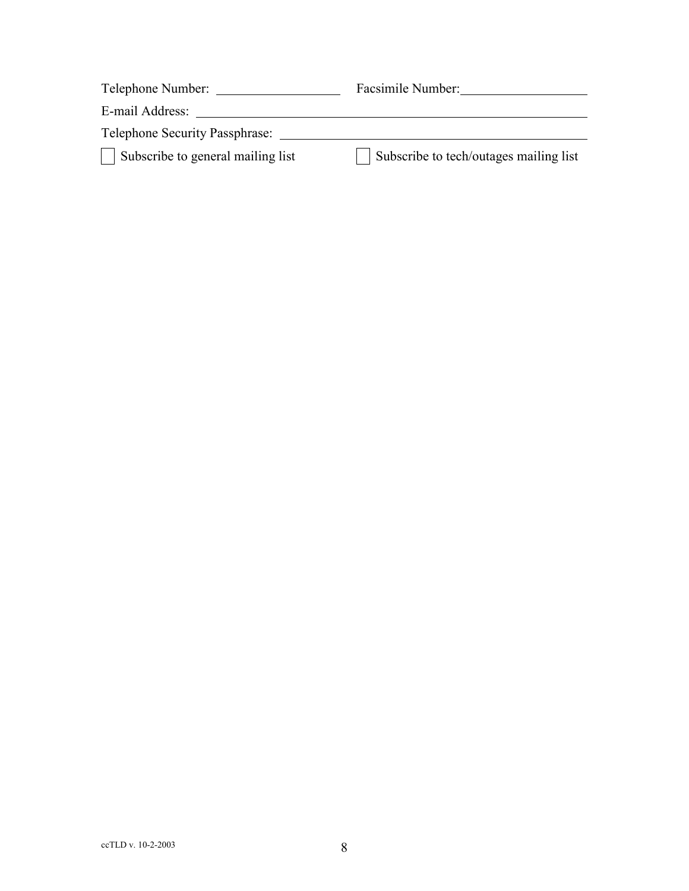| Telephone Number:                     | Facsimile Number:                      |
|---------------------------------------|----------------------------------------|
| E-mail Address:                       |                                        |
| <b>Telephone Security Passphrase:</b> |                                        |
| Subscribe to general mailing list     | Subscribe to tech/outages mailing list |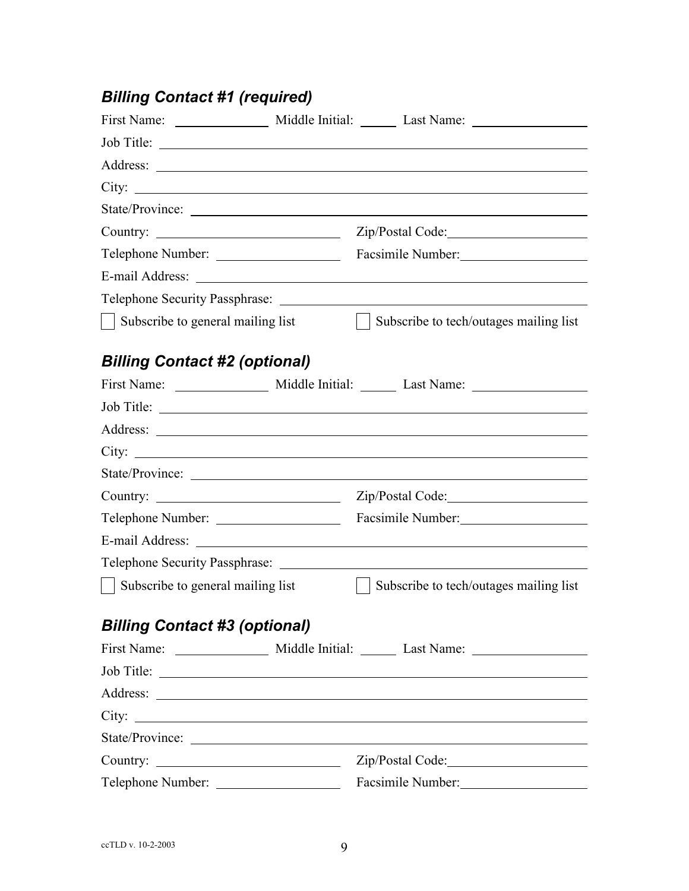# *Billing Contact #1 (required)*

|                                        | Job Title:                                                                                                           |
|----------------------------------------|----------------------------------------------------------------------------------------------------------------------|
|                                        |                                                                                                                      |
|                                        |                                                                                                                      |
|                                        |                                                                                                                      |
|                                        |                                                                                                                      |
| Telephone Number:                      | Facsimile Number: 1997                                                                                               |
|                                        |                                                                                                                      |
| Telephone Security Passphrase: _______ |                                                                                                                      |
| Subscribe to general mailing list      | Subscribe to tech/outages mailing list                                                                               |
| <b>Billing Contact #2 (optional)</b>   |                                                                                                                      |
|                                        |                                                                                                                      |
|                                        |                                                                                                                      |
|                                        |                                                                                                                      |
| City:                                  |                                                                                                                      |
|                                        |                                                                                                                      |
|                                        |                                                                                                                      |
| Telephone Number:                      | Facsimile Number:                                                                                                    |
|                                        |                                                                                                                      |
| Telephone Security Passphrase:         | <u> 1980 - Jan Stein Stein Stein Stein Stein Stein Stein Stein Stein Stein Stein Stein Stein Stein Stein Stein S</u> |
| Subscribe to general mailing list      | Subscribe to tech/outages mailing list                                                                               |
| <b>Billing Contact #3 (optional)</b>   |                                                                                                                      |
|                                        |                                                                                                                      |
| Job Title:                             |                                                                                                                      |
|                                        |                                                                                                                      |
|                                        |                                                                                                                      |
|                                        | State/Province:                                                                                                      |
|                                        |                                                                                                                      |
| Telephone Number:                      | Facsimile Number:                                                                                                    |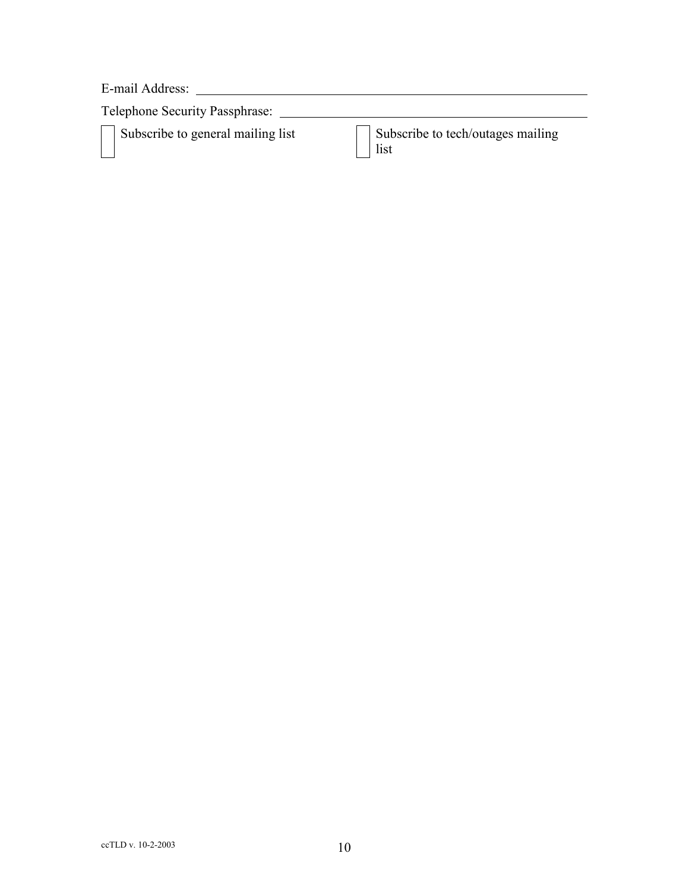E-mail Address:

Telephone Security Passphrase:

Subscribe to general mailing list  $\Box$  Subscribe to tech/outages mailing list